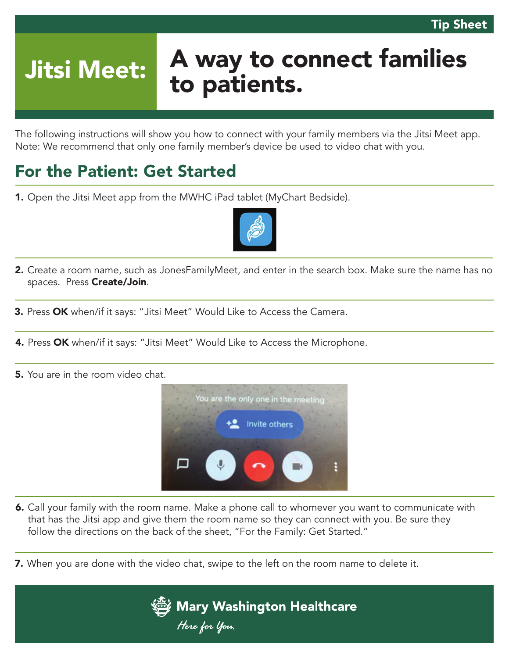# Jitsi Meet: A way to connect families to patients.

The following instructions will show you how to connect with your family members via the Jitsi Meet app. Note: We recommend that only one family member's device be used to video chat with you.

### For the Patient: Get Started

1. Open the Jitsi Meet app from the MWHC iPad tablet (MyChart Bedside).



- 2. Create a room name, such as JonesFamilyMeet, and enter in the search box. Make sure the name has no spaces. Press Create/Join.
- **3.** Press OK when/if it says: "Jitsi Meet" Would Like to Access the Camera.
- 4. Press OK when/if it says: "Jitsi Meet" Would Like to Access the Microphone.
- **5.** You are in the room video chat.



- 6. Call your family with the room name. Make a phone call to whomever you want to communicate with that has the Jitsi app and give them the room name so they can connect with you. Be sure they follow the directions on the back of the sheet, "For the Family: Get Started."
- **7.** When you are done with the video chat, swipe to the left on the room name to delete it.